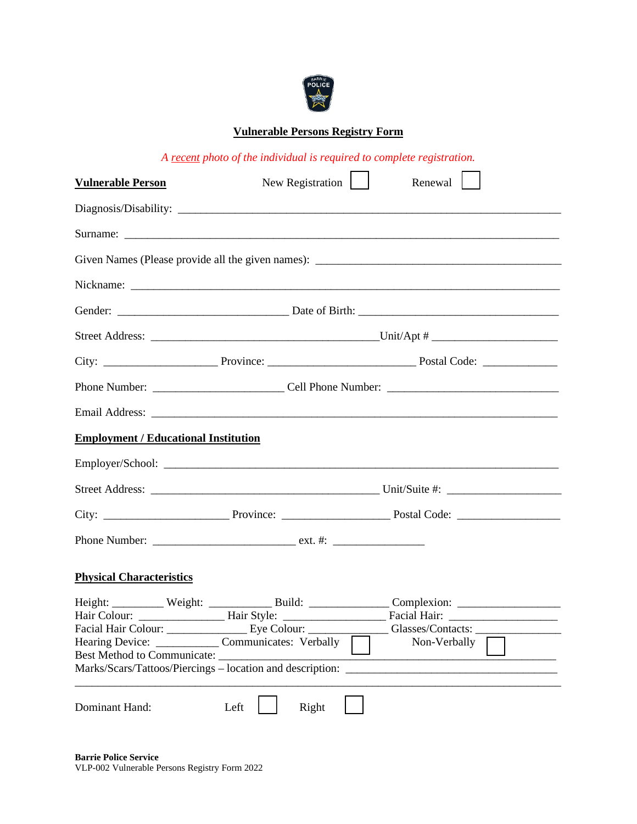

# **Vulnerable Persons Registry Form**

*A recent photo of the individual is required to complete registration.*

| <b>Vulnerable Person</b>                                                                                                                                      |               | New Registration $\vert \vert$<br>Renewal |  |  |  |  |
|---------------------------------------------------------------------------------------------------------------------------------------------------------------|---------------|-------------------------------------------|--|--|--|--|
|                                                                                                                                                               |               |                                           |  |  |  |  |
|                                                                                                                                                               |               |                                           |  |  |  |  |
|                                                                                                                                                               |               |                                           |  |  |  |  |
|                                                                                                                                                               |               |                                           |  |  |  |  |
|                                                                                                                                                               |               |                                           |  |  |  |  |
|                                                                                                                                                               |               |                                           |  |  |  |  |
|                                                                                                                                                               |               |                                           |  |  |  |  |
|                                                                                                                                                               |               |                                           |  |  |  |  |
|                                                                                                                                                               |               |                                           |  |  |  |  |
| <b>Employment / Educational Institution</b>                                                                                                                   |               |                                           |  |  |  |  |
|                                                                                                                                                               |               |                                           |  |  |  |  |
|                                                                                                                                                               |               |                                           |  |  |  |  |
|                                                                                                                                                               |               |                                           |  |  |  |  |
|                                                                                                                                                               |               |                                           |  |  |  |  |
| <b>Physical Characteristics</b>                                                                                                                               |               |                                           |  |  |  |  |
| Hearing Device: ___________________ Communicates: Verbally<br><b>Best Method to Communicate:</b><br>Marks/Scars/Tattoos/Piercings - location and description: |               | $\Box$<br>Non-Verbally                    |  |  |  |  |
| Dominant Hand:                                                                                                                                                | Left<br>Right |                                           |  |  |  |  |

**Barrie Police Service** VLP-002 Vulnerable Persons Registry Form 2022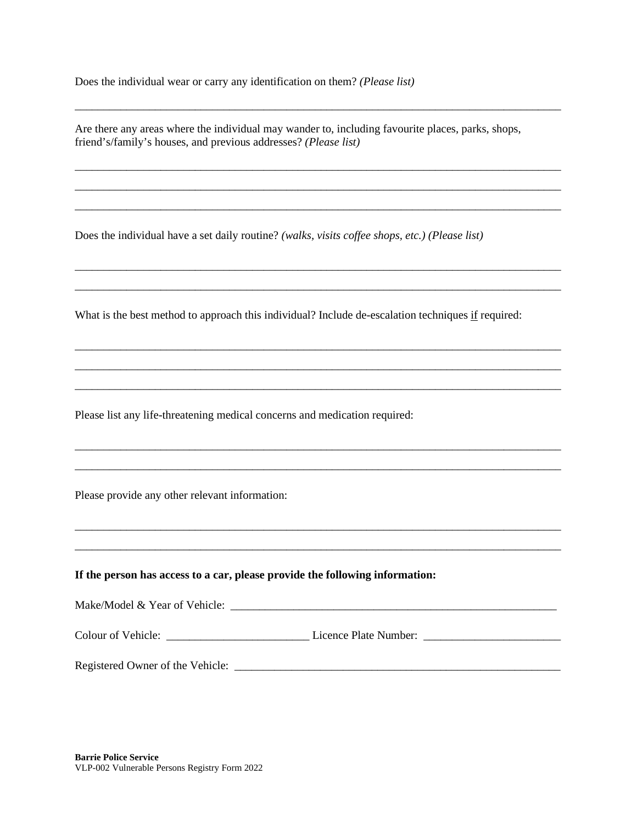Does the individual wear or carry any identification on them? *(Please list)*

Are there any areas where the individual may wander to, including favourite places, parks, shops, friend's/family's houses, and previous addresses? *(Please list)*

\_\_\_\_\_\_\_\_\_\_\_\_\_\_\_\_\_\_\_\_\_\_\_\_\_\_\_\_\_\_\_\_\_\_\_\_\_\_\_\_\_\_\_\_\_\_\_\_\_\_\_\_\_\_\_\_\_\_\_\_\_\_\_\_\_\_\_\_\_\_\_\_\_\_\_\_\_\_\_\_\_\_\_\_\_

\_\_\_\_\_\_\_\_\_\_\_\_\_\_\_\_\_\_\_\_\_\_\_\_\_\_\_\_\_\_\_\_\_\_\_\_\_\_\_\_\_\_\_\_\_\_\_\_\_\_\_\_\_\_\_\_\_\_\_\_\_\_\_\_\_\_\_\_\_\_\_\_\_\_\_\_\_\_\_\_\_\_\_\_\_ \_\_\_\_\_\_\_\_\_\_\_\_\_\_\_\_\_\_\_\_\_\_\_\_\_\_\_\_\_\_\_\_\_\_\_\_\_\_\_\_\_\_\_\_\_\_\_\_\_\_\_\_\_\_\_\_\_\_\_\_\_\_\_\_\_\_\_\_\_\_\_\_\_\_\_\_\_\_\_\_\_\_\_\_\_ \_\_\_\_\_\_\_\_\_\_\_\_\_\_\_\_\_\_\_\_\_\_\_\_\_\_\_\_\_\_\_\_\_\_\_\_\_\_\_\_\_\_\_\_\_\_\_\_\_\_\_\_\_\_\_\_\_\_\_\_\_\_\_\_\_\_\_\_\_\_\_\_\_\_\_\_\_\_\_\_\_\_\_\_\_

\_\_\_\_\_\_\_\_\_\_\_\_\_\_\_\_\_\_\_\_\_\_\_\_\_\_\_\_\_\_\_\_\_\_\_\_\_\_\_\_\_\_\_\_\_\_\_\_\_\_\_\_\_\_\_\_\_\_\_\_\_\_\_\_\_\_\_\_\_\_\_\_\_\_\_\_\_\_\_\_\_\_\_\_\_ \_\_\_\_\_\_\_\_\_\_\_\_\_\_\_\_\_\_\_\_\_\_\_\_\_\_\_\_\_\_\_\_\_\_\_\_\_\_\_\_\_\_\_\_\_\_\_\_\_\_\_\_\_\_\_\_\_\_\_\_\_\_\_\_\_\_\_\_\_\_\_\_\_\_\_\_\_\_\_\_\_\_\_\_\_

\_\_\_\_\_\_\_\_\_\_\_\_\_\_\_\_\_\_\_\_\_\_\_\_\_\_\_\_\_\_\_\_\_\_\_\_\_\_\_\_\_\_\_\_\_\_\_\_\_\_\_\_\_\_\_\_\_\_\_\_\_\_\_\_\_\_\_\_\_\_\_\_\_\_\_\_\_\_\_\_\_\_\_\_\_ \_\_\_\_\_\_\_\_\_\_\_\_\_\_\_\_\_\_\_\_\_\_\_\_\_\_\_\_\_\_\_\_\_\_\_\_\_\_\_\_\_\_\_\_\_\_\_\_\_\_\_\_\_\_\_\_\_\_\_\_\_\_\_\_\_\_\_\_\_\_\_\_\_\_\_\_\_\_\_\_\_\_\_\_\_ \_\_\_\_\_\_\_\_\_\_\_\_\_\_\_\_\_\_\_\_\_\_\_\_\_\_\_\_\_\_\_\_\_\_\_\_\_\_\_\_\_\_\_\_\_\_\_\_\_\_\_\_\_\_\_\_\_\_\_\_\_\_\_\_\_\_\_\_\_\_\_\_\_\_\_\_\_\_\_\_\_\_\_\_\_

\_\_\_\_\_\_\_\_\_\_\_\_\_\_\_\_\_\_\_\_\_\_\_\_\_\_\_\_\_\_\_\_\_\_\_\_\_\_\_\_\_\_\_\_\_\_\_\_\_\_\_\_\_\_\_\_\_\_\_\_\_\_\_\_\_\_\_\_\_\_\_\_\_\_\_\_\_\_\_\_\_\_\_\_\_ \_\_\_\_\_\_\_\_\_\_\_\_\_\_\_\_\_\_\_\_\_\_\_\_\_\_\_\_\_\_\_\_\_\_\_\_\_\_\_\_\_\_\_\_\_\_\_\_\_\_\_\_\_\_\_\_\_\_\_\_\_\_\_\_\_\_\_\_\_\_\_\_\_\_\_\_\_\_\_\_\_\_\_\_\_

\_\_\_\_\_\_\_\_\_\_\_\_\_\_\_\_\_\_\_\_\_\_\_\_\_\_\_\_\_\_\_\_\_\_\_\_\_\_\_\_\_\_\_\_\_\_\_\_\_\_\_\_\_\_\_\_\_\_\_\_\_\_\_\_\_\_\_\_\_\_\_\_\_\_\_\_\_\_\_\_\_\_\_\_\_ \_\_\_\_\_\_\_\_\_\_\_\_\_\_\_\_\_\_\_\_\_\_\_\_\_\_\_\_\_\_\_\_\_\_\_\_\_\_\_\_\_\_\_\_\_\_\_\_\_\_\_\_\_\_\_\_\_\_\_\_\_\_\_\_\_\_\_\_\_\_\_\_\_\_\_\_\_\_\_\_\_\_\_\_\_

Does the individual have a set daily routine? *(walks, visits coffee shops, etc.) (Please list)*

What is the best method to approach this individual? Include de-escalation techniques if required:

Please list any life-threatening medical concerns and medication required:

Please provide any other relevant information:

#### **If the person has access to a car, please provide the following information:**

Make/Model & Year of Vehicle: \_\_\_\_\_\_\_\_\_\_\_\_\_\_\_\_\_\_\_\_\_\_\_\_\_\_\_\_\_\_\_\_\_\_\_\_\_\_\_\_\_\_\_\_\_\_\_\_\_\_\_\_\_\_\_\_\_

Colour of Vehicle: \_\_\_\_\_\_\_\_\_\_\_\_\_\_\_\_\_\_\_\_\_\_\_\_\_ Licence Plate Number: \_\_\_\_\_\_\_\_\_\_\_\_\_\_\_\_\_\_\_\_\_\_\_\_

Registered Owner of the Vehicle: \_\_\_\_\_\_\_\_\_\_\_\_\_\_\_\_\_\_\_\_\_\_\_\_\_\_\_\_\_\_\_\_\_\_\_\_\_\_\_\_\_\_\_\_\_\_\_\_\_\_\_\_\_\_\_\_\_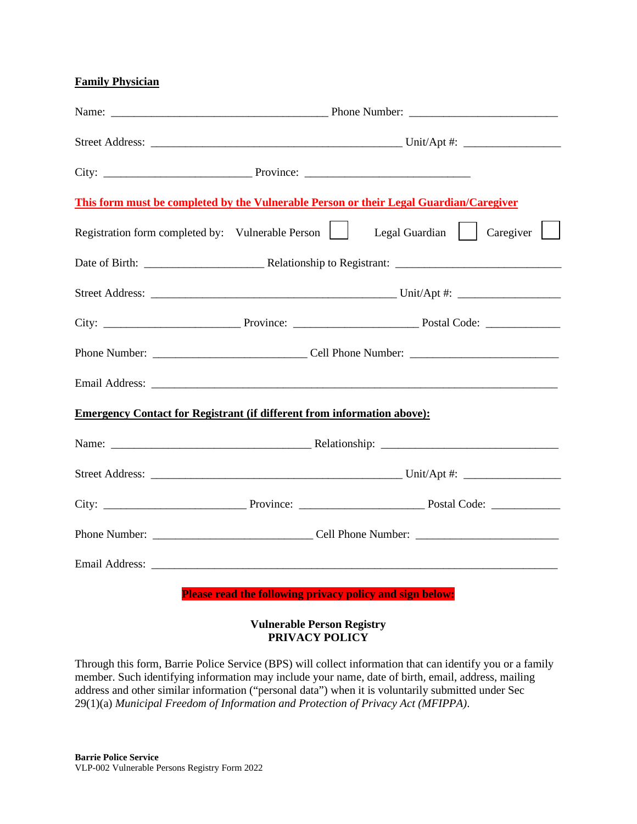### **Family Physician**

| This form must be completed by the Vulnerable Person or their Legal Guardian/Caregiver |                                                                 |  |  |  |  |  |
|----------------------------------------------------------------------------------------|-----------------------------------------------------------------|--|--|--|--|--|
| Registration form completed by: Vulnerable Person   Legal Guardian   Caregiver         |                                                                 |  |  |  |  |  |
|                                                                                        |                                                                 |  |  |  |  |  |
|                                                                                        |                                                                 |  |  |  |  |  |
|                                                                                        |                                                                 |  |  |  |  |  |
|                                                                                        |                                                                 |  |  |  |  |  |
|                                                                                        |                                                                 |  |  |  |  |  |
| <b>Emergency Contact for Registrant (if different from information above):</b>         |                                                                 |  |  |  |  |  |
|                                                                                        |                                                                 |  |  |  |  |  |
|                                                                                        |                                                                 |  |  |  |  |  |
|                                                                                        |                                                                 |  |  |  |  |  |
|                                                                                        |                                                                 |  |  |  |  |  |
|                                                                                        |                                                                 |  |  |  |  |  |
|                                                                                        | <b>Please read the following privacy policy and sign below:</b> |  |  |  |  |  |

## **Vulnerable Person Registry PRIVACY POLICY**

Through this form, Barrie Police Service (BPS) will collect information that can identify you or a family member. Such identifying information may include your name, date of birth, email, address, mailing address and other similar information ("personal data") when it is voluntarily submitted under Sec 29(1)(a) *Municipal Freedom of Information and Protection of Privacy Act (MFIPPA)*.